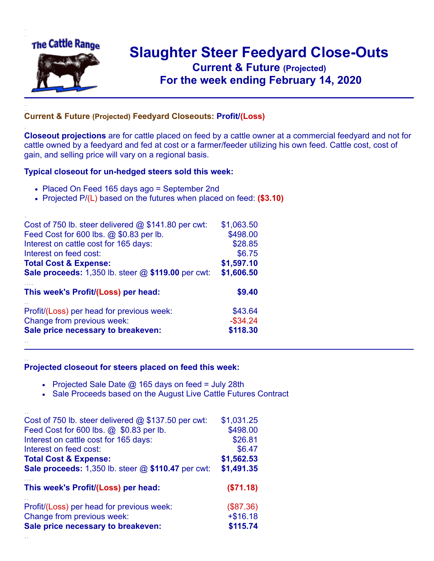

.

..

## **Slaughter Steer Feedyard Close-Outs Current & Future (Projected)** .**For the week ending February 14, 2020**

## **Current & Future (Projected) Feedyard Closeouts: Profit/(Loss)**

**Closeout projections** are for cattle placed on feed by a cattle owner at a commercial feedyard and not for cattle owned by a feedyard and fed at cost or a farmer/feeder utilizing his own feed. Cattle cost, cost of gain, and selling price will vary on a regional basis.

## **Typical closeout for un-hedged steers sold this week:**

- Placed On Feed 165 days ago = September 2nd
- Projected P/(L) based on the futures when placed on feed: **(\$3.10)**

| Cost of 750 lb. steer delivered $@$ \$141.80 per cwt: | \$1,063.50  |
|-------------------------------------------------------|-------------|
| Feed Cost for 600 lbs. @ \$0.83 per lb.               | \$498.00    |
| Interest on cattle cost for 165 days:                 | \$28.85     |
| Interest on feed cost:                                | \$6.75      |
| <b>Total Cost &amp; Expense:</b>                      | \$1,597.10  |
| Sale proceeds: 1,350 lb. steer @ \$119.00 per cwt:    | \$1,606.50  |
|                                                       |             |
| This week's Profit/(Loss) per head:                   | \$9.40      |
| Profit/(Loss) per head for previous week:             | \$43.64     |
| Change from previous week:                            | $-$ \$34.24 |
| Sale price necessary to breakeven:                    | \$118.30    |

## **Projected closeout for steers placed on feed this week:**

- Projected Sale Date  $@$  165 days on feed = July 28th
- Sale Proceeds based on the August Live Cattle Futures Contract

| Cost of 750 lb. steer delivered $@$ \$137.50 per cwt:       | \$1,031.25 |
|-------------------------------------------------------------|------------|
| Feed Cost for 600 lbs. @ \$0.83 per lb.                     | \$498.00   |
| Interest on cattle cost for 165 days:                       | \$26.81    |
| Interest on feed cost:                                      | \$6.47     |
| <b>Total Cost &amp; Expense:</b>                            | \$1,562.53 |
| <b>Sale proceeds:</b> 1,350 lb. steer $@$ \$110.47 per cwt: | \$1,491.35 |
| This week's Profit/(Loss) per head:                         | (\$71.18)  |
| Profit/(Loss) per head for previous week:                   | (\$87.36)  |
| Change from previous week:                                  | $+ $16.18$ |
| Sale price necessary to breakeven:                          | \$115.74   |
|                                                             |            |